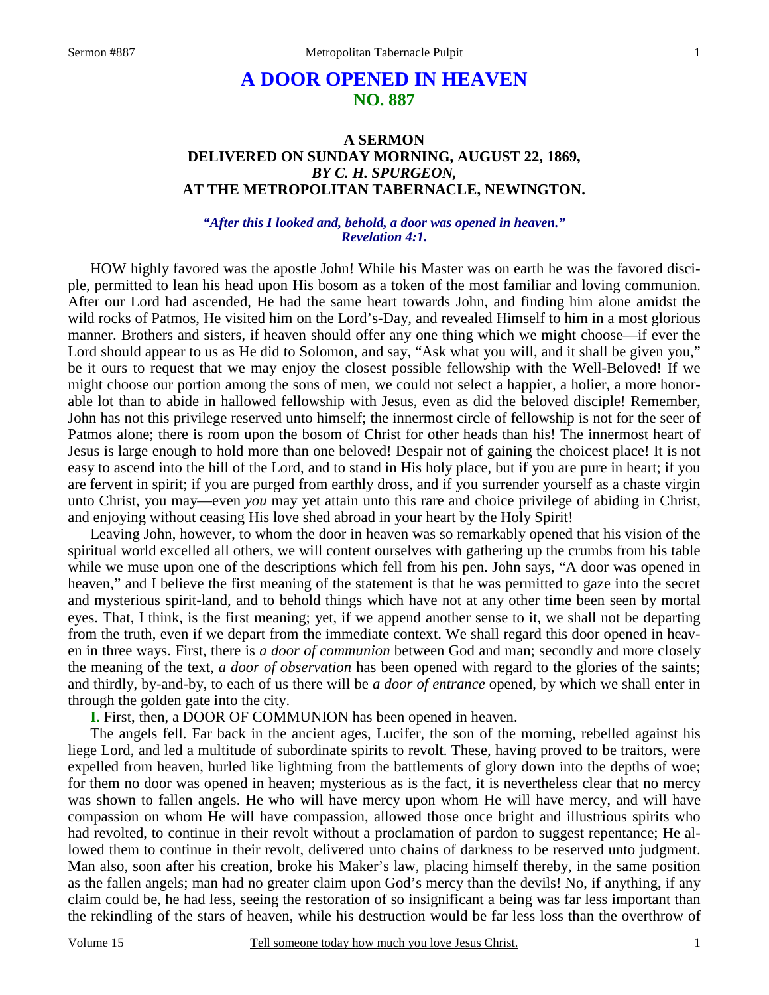# **A DOOR OPENED IN HEAVEN NO. 887**

# **A SERMON DELIVERED ON SUNDAY MORNING, AUGUST 22, 1869,**  *BY C. H. SPURGEON,*  **AT THE METROPOLITAN TABERNACLE, NEWINGTON.**

#### *"After this I looked and, behold, a door was opened in heaven." Revelation 4:1.*

 HOW highly favored was the apostle John! While his Master was on earth he was the favored disciple, permitted to lean his head upon His bosom as a token of the most familiar and loving communion. After our Lord had ascended, He had the same heart towards John, and finding him alone amidst the wild rocks of Patmos, He visited him on the Lord's-Day, and revealed Himself to him in a most glorious manner. Brothers and sisters, if heaven should offer any one thing which we might choose—if ever the Lord should appear to us as He did to Solomon, and say, "Ask what you will, and it shall be given you," be it ours to request that we may enjoy the closest possible fellowship with the Well-Beloved! If we might choose our portion among the sons of men, we could not select a happier, a holier, a more honorable lot than to abide in hallowed fellowship with Jesus, even as did the beloved disciple! Remember, John has not this privilege reserved unto himself; the innermost circle of fellowship is not for the seer of Patmos alone; there is room upon the bosom of Christ for other heads than his! The innermost heart of Jesus is large enough to hold more than one beloved! Despair not of gaining the choicest place! It is not easy to ascend into the hill of the Lord, and to stand in His holy place, but if you are pure in heart; if you are fervent in spirit; if you are purged from earthly dross, and if you surrender yourself as a chaste virgin unto Christ, you may—even *you* may yet attain unto this rare and choice privilege of abiding in Christ, and enjoying without ceasing His love shed abroad in your heart by the Holy Spirit!

 Leaving John, however, to whom the door in heaven was so remarkably opened that his vision of the spiritual world excelled all others, we will content ourselves with gathering up the crumbs from his table while we muse upon one of the descriptions which fell from his pen. John says, "A door was opened in heaven," and I believe the first meaning of the statement is that he was permitted to gaze into the secret and mysterious spirit-land, and to behold things which have not at any other time been seen by mortal eyes. That, I think, is the first meaning; yet, if we append another sense to it, we shall not be departing from the truth, even if we depart from the immediate context. We shall regard this door opened in heaven in three ways. First, there is *a door of communion* between God and man; secondly and more closely the meaning of the text, *a door of observation* has been opened with regard to the glories of the saints; and thirdly, by-and-by, to each of us there will be *a door of entrance* opened, by which we shall enter in through the golden gate into the city.

**I.** First, then, a DOOR OF COMMUNION has been opened in heaven.

 The angels fell. Far back in the ancient ages, Lucifer, the son of the morning, rebelled against his liege Lord, and led a multitude of subordinate spirits to revolt. These, having proved to be traitors, were expelled from heaven, hurled like lightning from the battlements of glory down into the depths of woe; for them no door was opened in heaven; mysterious as is the fact, it is nevertheless clear that no mercy was shown to fallen angels. He who will have mercy upon whom He will have mercy, and will have compassion on whom He will have compassion, allowed those once bright and illustrious spirits who had revolted, to continue in their revolt without a proclamation of pardon to suggest repentance; He allowed them to continue in their revolt, delivered unto chains of darkness to be reserved unto judgment. Man also, soon after his creation, broke his Maker's law, placing himself thereby, in the same position as the fallen angels; man had no greater claim upon God's mercy than the devils! No, if anything, if any claim could be, he had less, seeing the restoration of so insignificant a being was far less important than the rekindling of the stars of heaven, while his destruction would be far less loss than the overthrow of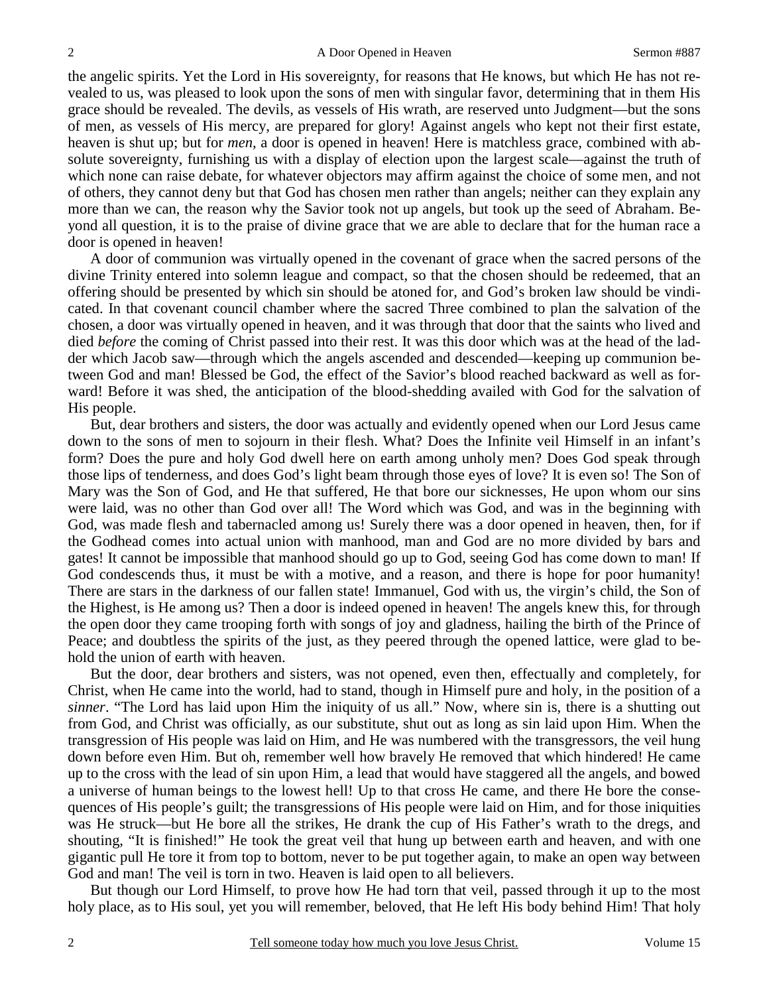the angelic spirits. Yet the Lord in His sovereignty, for reasons that He knows, but which He has not revealed to us, was pleased to look upon the sons of men with singular favor, determining that in them His grace should be revealed. The devils, as vessels of His wrath, are reserved unto Judgment—but the sons of men, as vessels of His mercy, are prepared for glory! Against angels who kept not their first estate, heaven is shut up; but for *men*, a door is opened in heaven! Here is matchless grace, combined with absolute sovereignty, furnishing us with a display of election upon the largest scale—against the truth of which none can raise debate, for whatever objectors may affirm against the choice of some men, and not of others, they cannot deny but that God has chosen men rather than angels; neither can they explain any more than we can, the reason why the Savior took not up angels, but took up the seed of Abraham. Beyond all question, it is to the praise of divine grace that we are able to declare that for the human race a door is opened in heaven!

 A door of communion was virtually opened in the covenant of grace when the sacred persons of the divine Trinity entered into solemn league and compact, so that the chosen should be redeemed, that an offering should be presented by which sin should be atoned for, and God's broken law should be vindicated. In that covenant council chamber where the sacred Three combined to plan the salvation of the chosen, a door was virtually opened in heaven, and it was through that door that the saints who lived and died *before* the coming of Christ passed into their rest. It was this door which was at the head of the ladder which Jacob saw—through which the angels ascended and descended—keeping up communion between God and man! Blessed be God, the effect of the Savior's blood reached backward as well as forward! Before it was shed, the anticipation of the blood-shedding availed with God for the salvation of His people.

 But, dear brothers and sisters, the door was actually and evidently opened when our Lord Jesus came down to the sons of men to sojourn in their flesh. What? Does the Infinite veil Himself in an infant's form? Does the pure and holy God dwell here on earth among unholy men? Does God speak through those lips of tenderness, and does God's light beam through those eyes of love? It is even so! The Son of Mary was the Son of God, and He that suffered, He that bore our sicknesses, He upon whom our sins were laid, was no other than God over all! The Word which was God, and was in the beginning with God, was made flesh and tabernacled among us! Surely there was a door opened in heaven, then, for if the Godhead comes into actual union with manhood, man and God are no more divided by bars and gates! It cannot be impossible that manhood should go up to God, seeing God has come down to man! If God condescends thus, it must be with a motive, and a reason, and there is hope for poor humanity! There are stars in the darkness of our fallen state! Immanuel, God with us, the virgin's child, the Son of the Highest, is He among us? Then a door is indeed opened in heaven! The angels knew this, for through the open door they came trooping forth with songs of joy and gladness, hailing the birth of the Prince of Peace; and doubtless the spirits of the just, as they peered through the opened lattice, were glad to behold the union of earth with heaven.

 But the door, dear brothers and sisters, was not opened, even then, effectually and completely, for Christ, when He came into the world, had to stand, though in Himself pure and holy, in the position of a *sinner*. "The Lord has laid upon Him the iniquity of us all." Now, where sin is, there is a shutting out from God, and Christ was officially, as our substitute, shut out as long as sin laid upon Him. When the transgression of His people was laid on Him, and He was numbered with the transgressors, the veil hung down before even Him. But oh, remember well how bravely He removed that which hindered! He came up to the cross with the lead of sin upon Him, a lead that would have staggered all the angels, and bowed a universe of human beings to the lowest hell! Up to that cross He came, and there He bore the consequences of His people's guilt; the transgressions of His people were laid on Him, and for those iniquities was He struck—but He bore all the strikes, He drank the cup of His Father's wrath to the dregs, and shouting, "It is finished!" He took the great veil that hung up between earth and heaven, and with one gigantic pull He tore it from top to bottom, never to be put together again, to make an open way between God and man! The veil is torn in two. Heaven is laid open to all believers.

 But though our Lord Himself, to prove how He had torn that veil, passed through it up to the most holy place, as to His soul, yet you will remember, beloved, that He left His body behind Him! That holy

2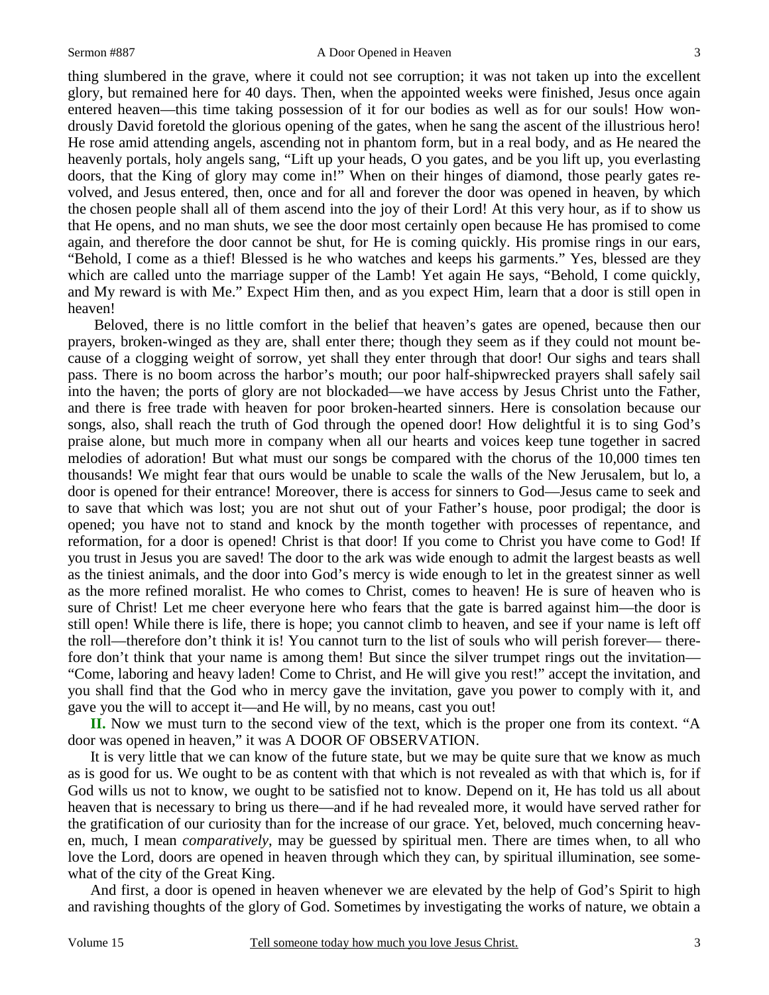thing slumbered in the grave, where it could not see corruption; it was not taken up into the excellent glory, but remained here for 40 days. Then, when the appointed weeks were finished, Jesus once again entered heaven—this time taking possession of it for our bodies as well as for our souls! How wondrously David foretold the glorious opening of the gates, when he sang the ascent of the illustrious hero! He rose amid attending angels, ascending not in phantom form, but in a real body, and as He neared the heavenly portals, holy angels sang, "Lift up your heads, O you gates, and be you lift up, you everlasting doors, that the King of glory may come in!" When on their hinges of diamond, those pearly gates revolved, and Jesus entered, then, once and for all and forever the door was opened in heaven, by which the chosen people shall all of them ascend into the joy of their Lord! At this very hour, as if to show us that He opens, and no man shuts, we see the door most certainly open because He has promised to come again, and therefore the door cannot be shut, for He is coming quickly. His promise rings in our ears, "Behold, I come as a thief! Blessed is he who watches and keeps his garments." Yes, blessed are they which are called unto the marriage supper of the Lamb! Yet again He says, "Behold, I come quickly, and My reward is with Me." Expect Him then, and as you expect Him, learn that a door is still open in heaven!

 Beloved, there is no little comfort in the belief that heaven's gates are opened, because then our prayers, broken-winged as they are, shall enter there; though they seem as if they could not mount because of a clogging weight of sorrow, yet shall they enter through that door! Our sighs and tears shall pass. There is no boom across the harbor's mouth; our poor half-shipwrecked prayers shall safely sail into the haven; the ports of glory are not blockaded—we have access by Jesus Christ unto the Father, and there is free trade with heaven for poor broken-hearted sinners. Here is consolation because our songs, also, shall reach the truth of God through the opened door! How delightful it is to sing God's praise alone, but much more in company when all our hearts and voices keep tune together in sacred melodies of adoration! But what must our songs be compared with the chorus of the 10,000 times ten thousands! We might fear that ours would be unable to scale the walls of the New Jerusalem, but lo, a door is opened for their entrance! Moreover, there is access for sinners to God—Jesus came to seek and to save that which was lost; you are not shut out of your Father's house, poor prodigal; the door is opened; you have not to stand and knock by the month together with processes of repentance, and reformation, for a door is opened! Christ is that door! If you come to Christ you have come to God! If you trust in Jesus you are saved! The door to the ark was wide enough to admit the largest beasts as well as the tiniest animals, and the door into God's mercy is wide enough to let in the greatest sinner as well as the more refined moralist. He who comes to Christ, comes to heaven! He is sure of heaven who is sure of Christ! Let me cheer everyone here who fears that the gate is barred against him—the door is still open! While there is life, there is hope; you cannot climb to heaven, and see if your name is left off the roll—therefore don't think it is! You cannot turn to the list of souls who will perish forever— therefore don't think that your name is among them! But since the silver trumpet rings out the invitation— "Come, laboring and heavy laden! Come to Christ, and He will give you rest!" accept the invitation, and you shall find that the God who in mercy gave the invitation, gave you power to comply with it, and gave you the will to accept it—and He will, by no means, cast you out!

**II.** Now we must turn to the second view of the text, which is the proper one from its context. "A door was opened in heaven," it was A DOOR OF OBSERVATION.

 It is very little that we can know of the future state, but we may be quite sure that we know as much as is good for us. We ought to be as content with that which is not revealed as with that which is, for if God wills us not to know, we ought to be satisfied not to know. Depend on it, He has told us all about heaven that is necessary to bring us there—and if he had revealed more, it would have served rather for the gratification of our curiosity than for the increase of our grace. Yet, beloved, much concerning heaven, much, I mean *comparatively*, may be guessed by spiritual men. There are times when, to all who love the Lord, doors are opened in heaven through which they can, by spiritual illumination, see somewhat of the city of the Great King.

 And first, a door is opened in heaven whenever we are elevated by the help of God's Spirit to high and ravishing thoughts of the glory of God. Sometimes by investigating the works of nature, we obtain a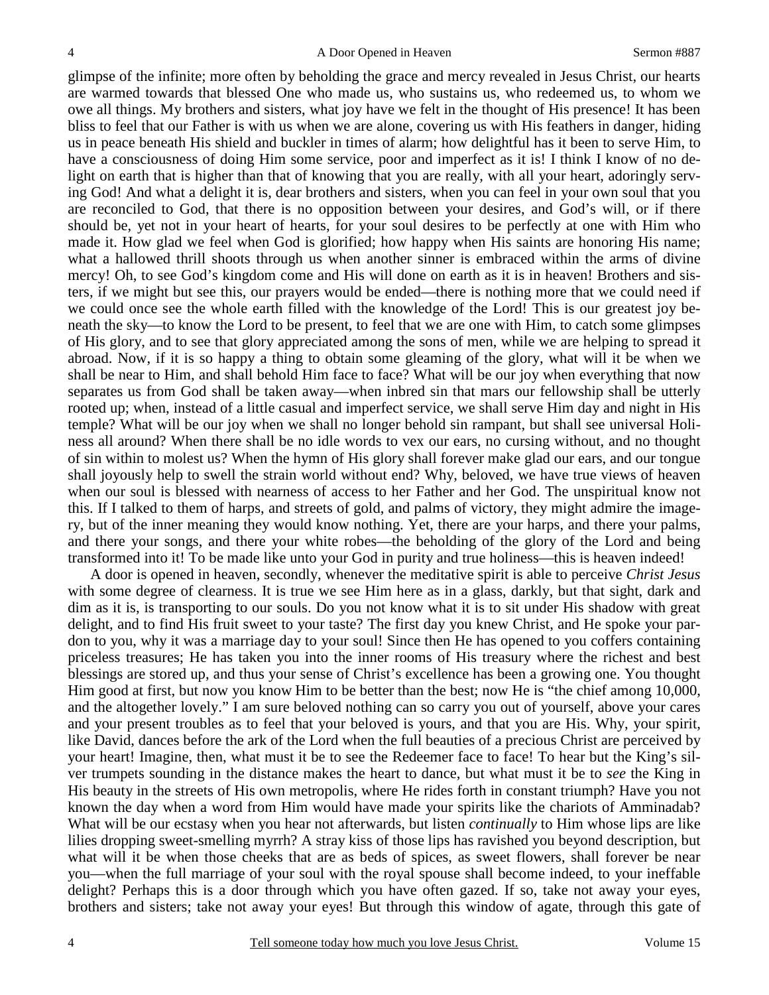glimpse of the infinite; more often by beholding the grace and mercy revealed in Jesus Christ, our hearts are warmed towards that blessed One who made us, who sustains us, who redeemed us, to whom we owe all things. My brothers and sisters, what joy have we felt in the thought of His presence! It has been bliss to feel that our Father is with us when we are alone, covering us with His feathers in danger, hiding us in peace beneath His shield and buckler in times of alarm; how delightful has it been to serve Him, to have a consciousness of doing Him some service, poor and imperfect as it is! I think I know of no delight on earth that is higher than that of knowing that you are really, with all your heart, adoringly serving God! And what a delight it is, dear brothers and sisters, when you can feel in your own soul that you are reconciled to God, that there is no opposition between your desires, and God's will, or if there should be, yet not in your heart of hearts, for your soul desires to be perfectly at one with Him who made it. How glad we feel when God is glorified; how happy when His saints are honoring His name; what a hallowed thrill shoots through us when another sinner is embraced within the arms of divine mercy! Oh, to see God's kingdom come and His will done on earth as it is in heaven! Brothers and sisters, if we might but see this, our prayers would be ended—there is nothing more that we could need if we could once see the whole earth filled with the knowledge of the Lord! This is our greatest joy beneath the sky—to know the Lord to be present, to feel that we are one with Him, to catch some glimpses of His glory, and to see that glory appreciated among the sons of men, while we are helping to spread it abroad. Now, if it is so happy a thing to obtain some gleaming of the glory, what will it be when we shall be near to Him, and shall behold Him face to face? What will be our joy when everything that now separates us from God shall be taken away—when inbred sin that mars our fellowship shall be utterly rooted up; when, instead of a little casual and imperfect service, we shall serve Him day and night in His temple? What will be our joy when we shall no longer behold sin rampant, but shall see universal Holiness all around? When there shall be no idle words to vex our ears, no cursing without, and no thought of sin within to molest us? When the hymn of His glory shall forever make glad our ears, and our tongue shall joyously help to swell the strain world without end? Why, beloved, we have true views of heaven when our soul is blessed with nearness of access to her Father and her God. The unspiritual know not this. If I talked to them of harps, and streets of gold, and palms of victory, they might admire the imagery, but of the inner meaning they would know nothing. Yet, there are your harps, and there your palms, and there your songs, and there your white robes—the beholding of the glory of the Lord and being transformed into it! To be made like unto your God in purity and true holiness—this is heaven indeed!

 A door is opened in heaven, secondly, whenever the meditative spirit is able to perceive *Christ Jesus*  with some degree of clearness. It is true we see Him here as in a glass, darkly, but that sight, dark and dim as it is, is transporting to our souls. Do you not know what it is to sit under His shadow with great delight, and to find His fruit sweet to your taste? The first day you knew Christ, and He spoke your pardon to you, why it was a marriage day to your soul! Since then He has opened to you coffers containing priceless treasures; He has taken you into the inner rooms of His treasury where the richest and best blessings are stored up, and thus your sense of Christ's excellence has been a growing one. You thought Him good at first, but now you know Him to be better than the best; now He is "the chief among 10,000, and the altogether lovely." I am sure beloved nothing can so carry you out of yourself, above your cares and your present troubles as to feel that your beloved is yours, and that you are His. Why, your spirit, like David, dances before the ark of the Lord when the full beauties of a precious Christ are perceived by your heart! Imagine, then, what must it be to see the Redeemer face to face! To hear but the King's silver trumpets sounding in the distance makes the heart to dance, but what must it be to *see* the King in His beauty in the streets of His own metropolis, where He rides forth in constant triumph? Have you not known the day when a word from Him would have made your spirits like the chariots of Amminadab? What will be our ecstasy when you hear not afterwards, but listen *continually* to Him whose lips are like lilies dropping sweet-smelling myrrh? A stray kiss of those lips has ravished you beyond description, but what will it be when those cheeks that are as beds of spices, as sweet flowers, shall forever be near you—when the full marriage of your soul with the royal spouse shall become indeed, to your ineffable delight? Perhaps this is a door through which you have often gazed. If so, take not away your eyes, brothers and sisters; take not away your eyes! But through this window of agate, through this gate of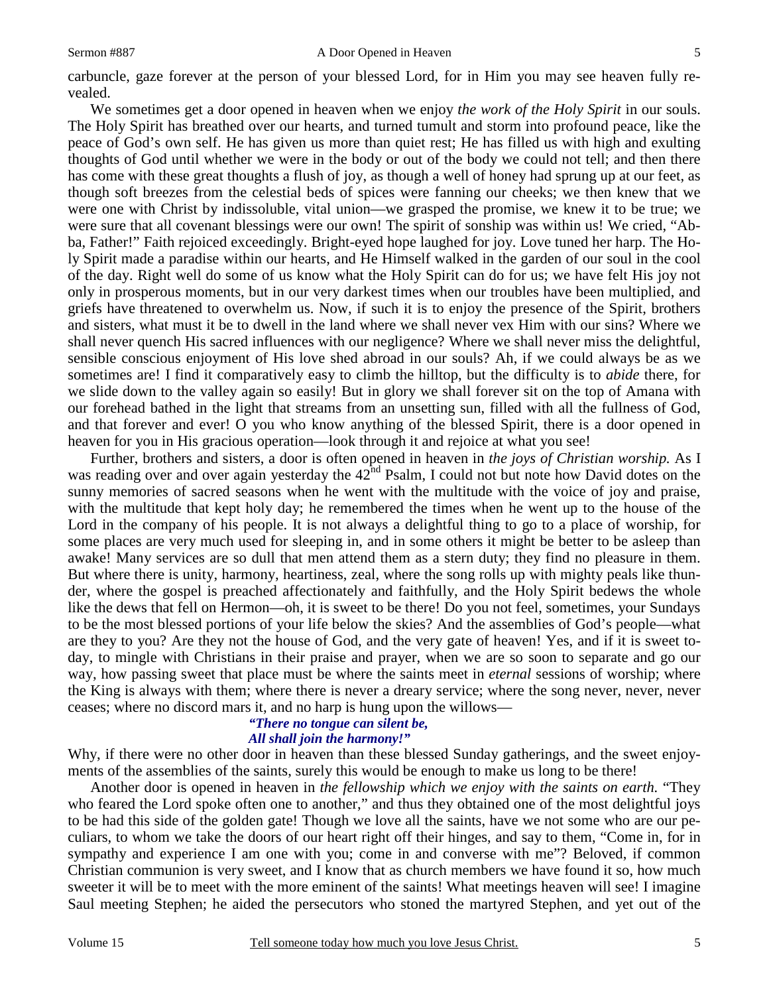carbuncle, gaze forever at the person of your blessed Lord, for in Him you may see heaven fully revealed.

 We sometimes get a door opened in heaven when we enjoy *the work of the Holy Spirit* in our souls. The Holy Spirit has breathed over our hearts, and turned tumult and storm into profound peace, like the peace of God's own self. He has given us more than quiet rest; He has filled us with high and exulting thoughts of God until whether we were in the body or out of the body we could not tell; and then there has come with these great thoughts a flush of joy, as though a well of honey had sprung up at our feet, as though soft breezes from the celestial beds of spices were fanning our cheeks; we then knew that we were one with Christ by indissoluble, vital union—we grasped the promise, we knew it to be true; we were sure that all covenant blessings were our own! The spirit of sonship was within us! We cried, "Abba, Father!" Faith rejoiced exceedingly. Bright-eyed hope laughed for joy. Love tuned her harp. The Holy Spirit made a paradise within our hearts, and He Himself walked in the garden of our soul in the cool of the day. Right well do some of us know what the Holy Spirit can do for us; we have felt His joy not only in prosperous moments, but in our very darkest times when our troubles have been multiplied, and griefs have threatened to overwhelm us. Now, if such it is to enjoy the presence of the Spirit, brothers and sisters, what must it be to dwell in the land where we shall never vex Him with our sins? Where we shall never quench His sacred influences with our negligence? Where we shall never miss the delightful, sensible conscious enjoyment of His love shed abroad in our souls? Ah, if we could always be as we sometimes are! I find it comparatively easy to climb the hilltop, but the difficulty is to *abide* there, for we slide down to the valley again so easily! But in glory we shall forever sit on the top of Amana with our forehead bathed in the light that streams from an unsetting sun, filled with all the fullness of God, and that forever and ever! O you who know anything of the blessed Spirit, there is a door opened in heaven for you in His gracious operation—look through it and rejoice at what you see!

 Further, brothers and sisters, a door is often opened in heaven in *the joys of Christian worship.* As I was reading over and over again yesterday the 42<sup>nd</sup> Psalm, I could not but note how David dotes on the sunny memories of sacred seasons when he went with the multitude with the voice of joy and praise, with the multitude that kept holy day; he remembered the times when he went up to the house of the Lord in the company of his people. It is not always a delightful thing to go to a place of worship, for some places are very much used for sleeping in, and in some others it might be better to be asleep than awake! Many services are so dull that men attend them as a stern duty; they find no pleasure in them. But where there is unity, harmony, heartiness, zeal, where the song rolls up with mighty peals like thunder, where the gospel is preached affectionately and faithfully, and the Holy Spirit bedews the whole like the dews that fell on Hermon—oh, it is sweet to be there! Do you not feel, sometimes, your Sundays to be the most blessed portions of your life below the skies? And the assemblies of God's people—what are they to you? Are they not the house of God, and the very gate of heaven! Yes, and if it is sweet today, to mingle with Christians in their praise and prayer, when we are so soon to separate and go our way, how passing sweet that place must be where the saints meet in *eternal* sessions of worship; where the King is always with them; where there is never a dreary service; where the song never, never, never ceases; where no discord mars it, and no harp is hung upon the willows—

#### *"There no tongue can silent be, All shall join the harmony!"*

Why, if there were no other door in heaven than these blessed Sunday gatherings, and the sweet enjoyments of the assemblies of the saints, surely this would be enough to make us long to be there!

 Another door is opened in heaven in *the fellowship which we enjoy with the saints on earth.* "They who feared the Lord spoke often one to another," and thus they obtained one of the most delightful joys to be had this side of the golden gate! Though we love all the saints, have we not some who are our peculiars, to whom we take the doors of our heart right off their hinges, and say to them, "Come in, for in sympathy and experience I am one with you; come in and converse with me"? Beloved, if common Christian communion is very sweet, and I know that as church members we have found it so, how much sweeter it will be to meet with the more eminent of the saints! What meetings heaven will see! I imagine Saul meeting Stephen; he aided the persecutors who stoned the martyred Stephen, and yet out of the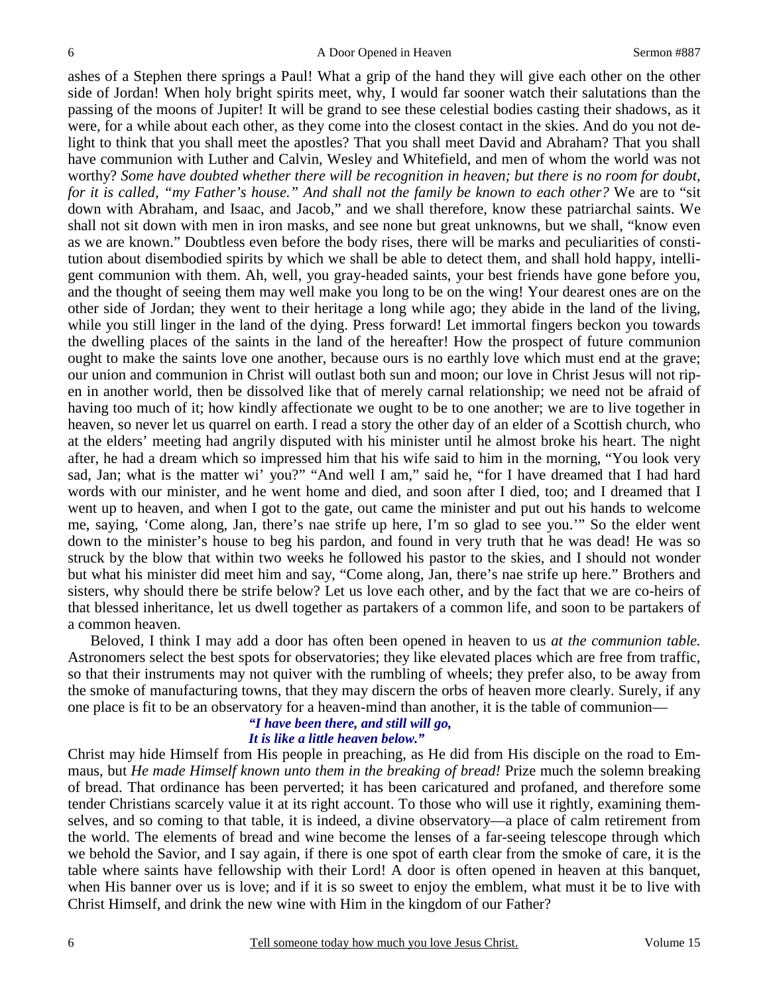ashes of a Stephen there springs a Paul! What a grip of the hand they will give each other on the other side of Jordan! When holy bright spirits meet, why, I would far sooner watch their salutations than the passing of the moons of Jupiter! It will be grand to see these celestial bodies casting their shadows, as it were, for a while about each other, as they come into the closest contact in the skies. And do you not delight to think that you shall meet the apostles? That you shall meet David and Abraham? That you shall have communion with Luther and Calvin, Wesley and Whitefield, and men of whom the world was not worthy? *Some have doubted whether there will be recognition in heaven; but there is no room for doubt, for it is called, "my Father's house." And shall not the family be known to each other?* We are to "sit down with Abraham, and Isaac, and Jacob," and we shall therefore, know these patriarchal saints. We shall not sit down with men in iron masks, and see none but great unknowns, but we shall, "know even as we are known." Doubtless even before the body rises, there will be marks and peculiarities of constitution about disembodied spirits by which we shall be able to detect them, and shall hold happy, intelligent communion with them. Ah, well, you gray-headed saints, your best friends have gone before you, and the thought of seeing them may well make you long to be on the wing! Your dearest ones are on the other side of Jordan; they went to their heritage a long while ago; they abide in the land of the living, while you still linger in the land of the dying. Press forward! Let immortal fingers beckon you towards the dwelling places of the saints in the land of the hereafter! How the prospect of future communion ought to make the saints love one another, because ours is no earthly love which must end at the grave; our union and communion in Christ will outlast both sun and moon; our love in Christ Jesus will not ripen in another world, then be dissolved like that of merely carnal relationship; we need not be afraid of having too much of it; how kindly affectionate we ought to be to one another; we are to live together in heaven, so never let us quarrel on earth. I read a story the other day of an elder of a Scottish church, who at the elders' meeting had angrily disputed with his minister until he almost broke his heart. The night after, he had a dream which so impressed him that his wife said to him in the morning, "You look very sad, Jan; what is the matter wi' you?" "And well I am," said he, "for I have dreamed that I had hard words with our minister, and he went home and died, and soon after I died, too; and I dreamed that I went up to heaven, and when I got to the gate, out came the minister and put out his hands to welcome me, saying, 'Come along, Jan, there's nae strife up here, I'm so glad to see you.'" So the elder went down to the minister's house to beg his pardon, and found in very truth that he was dead! He was so struck by the blow that within two weeks he followed his pastor to the skies, and I should not wonder but what his minister did meet him and say, "Come along, Jan, there's nae strife up here." Brothers and sisters, why should there be strife below? Let us love each other, and by the fact that we are co-heirs of that blessed inheritance, let us dwell together as partakers of a common life, and soon to be partakers of a common heaven.

 Beloved, I think I may add a door has often been opened in heaven to us *at the communion table.*  Astronomers select the best spots for observatories; they like elevated places which are free from traffic, so that their instruments may not quiver with the rumbling of wheels; they prefer also, to be away from the smoke of manufacturing towns, that they may discern the orbs of heaven more clearly. Surely, if any one place is fit to be an observatory for a heaven-mind than another, it is the table of communion—

#### *"I have been there, and still will go, It is like a little heaven below."*

Christ may hide Himself from His people in preaching, as He did from His disciple on the road to Emmaus, but *He made Himself known unto them in the breaking of bread!* Prize much the solemn breaking of bread. That ordinance has been perverted; it has been caricatured and profaned, and therefore some tender Christians scarcely value it at its right account. To those who will use it rightly, examining themselves, and so coming to that table, it is indeed, a divine observatory—a place of calm retirement from the world. The elements of bread and wine become the lenses of a far-seeing telescope through which we behold the Savior, and I say again, if there is one spot of earth clear from the smoke of care, it is the table where saints have fellowship with their Lord! A door is often opened in heaven at this banquet, when His banner over us is love; and if it is so sweet to enjoy the emblem, what must it be to live with Christ Himself, and drink the new wine with Him in the kingdom of our Father?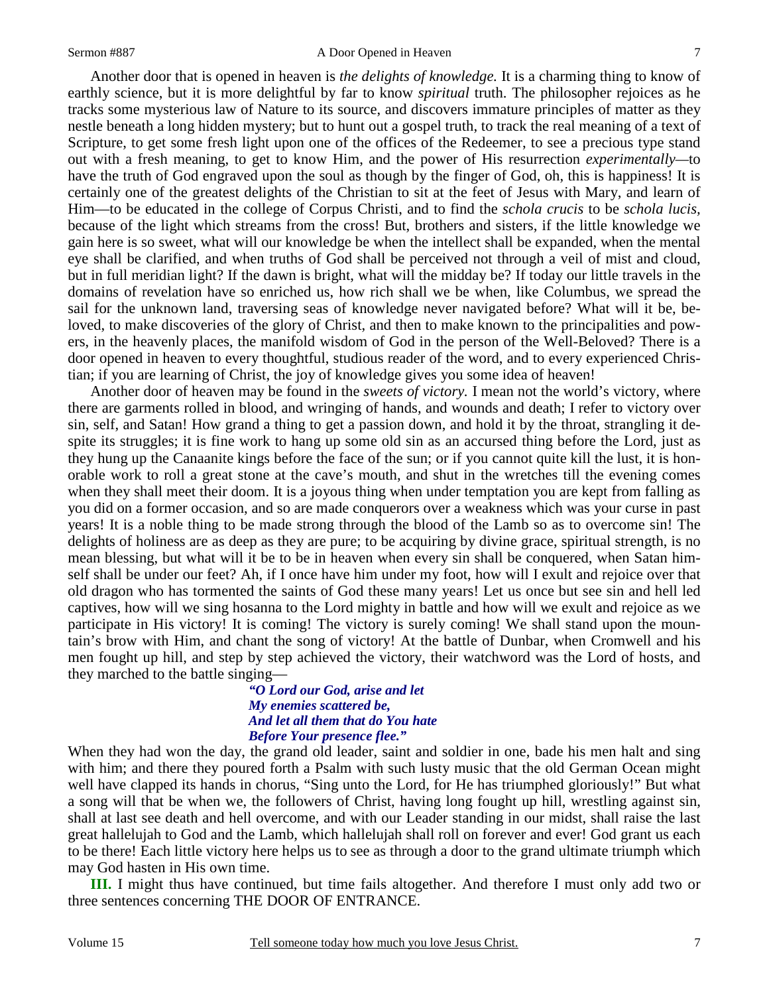Another door that is opened in heaven is *the delights of knowledge.* It is a charming thing to know of earthly science, but it is more delightful by far to know *spiritual* truth. The philosopher rejoices as he tracks some mysterious law of Nature to its source, and discovers immature principles of matter as they nestle beneath a long hidden mystery; but to hunt out a gospel truth, to track the real meaning of a text of Scripture, to get some fresh light upon one of the offices of the Redeemer, to see a precious type stand out with a fresh meaning, to get to know Him, and the power of His resurrection *experimentally—*to have the truth of God engraved upon the soul as though by the finger of God, oh, this is happiness! It is certainly one of the greatest delights of the Christian to sit at the feet of Jesus with Mary, and learn of Him—to be educated in the college of Corpus Christi, and to find the *schola crucis* to be *schola lucis,*  because of the light which streams from the cross! But, brothers and sisters, if the little knowledge we gain here is so sweet, what will our knowledge be when the intellect shall be expanded, when the mental eye shall be clarified, and when truths of God shall be perceived not through a veil of mist and cloud, but in full meridian light? If the dawn is bright, what will the midday be? If today our little travels in the domains of revelation have so enriched us, how rich shall we be when, like Columbus, we spread the sail for the unknown land, traversing seas of knowledge never navigated before? What will it be, beloved, to make discoveries of the glory of Christ, and then to make known to the principalities and powers, in the heavenly places, the manifold wisdom of God in the person of the Well-Beloved? There is a door opened in heaven to every thoughtful, studious reader of the word, and to every experienced Christian; if you are learning of Christ, the joy of knowledge gives you some idea of heaven!

 Another door of heaven may be found in the *sweets of victory.* I mean not the world's victory, where there are garments rolled in blood, and wringing of hands, and wounds and death; I refer to victory over sin, self, and Satan! How grand a thing to get a passion down, and hold it by the throat, strangling it despite its struggles; it is fine work to hang up some old sin as an accursed thing before the Lord, just as they hung up the Canaanite kings before the face of the sun; or if you cannot quite kill the lust, it is honorable work to roll a great stone at the cave's mouth, and shut in the wretches till the evening comes when they shall meet their doom. It is a joyous thing when under temptation you are kept from falling as you did on a former occasion, and so are made conquerors over a weakness which was your curse in past years! It is a noble thing to be made strong through the blood of the Lamb so as to overcome sin! The delights of holiness are as deep as they are pure; to be acquiring by divine grace, spiritual strength, is no mean blessing, but what will it be to be in heaven when every sin shall be conquered, when Satan himself shall be under our feet? Ah, if I once have him under my foot, how will I exult and rejoice over that old dragon who has tormented the saints of God these many years! Let us once but see sin and hell led captives, how will we sing hosanna to the Lord mighty in battle and how will we exult and rejoice as we participate in His victory! It is coming! The victory is surely coming! We shall stand upon the mountain's brow with Him, and chant the song of victory! At the battle of Dunbar, when Cromwell and his men fought up hill, and step by step achieved the victory, their watchword was the Lord of hosts, and they marched to the battle singing—

### *"O Lord our God, arise and let My enemies scattered be, And let all them that do You hate Before Your presence flee."*

When they had won the day, the grand old leader, saint and soldier in one, bade his men halt and sing with him; and there they poured forth a Psalm with such lusty music that the old German Ocean might well have clapped its hands in chorus, "Sing unto the Lord, for He has triumphed gloriously!" But what a song will that be when we, the followers of Christ, having long fought up hill, wrestling against sin, shall at last see death and hell overcome, and with our Leader standing in our midst, shall raise the last great hallelujah to God and the Lamb, which hallelujah shall roll on forever and ever! God grant us each to be there! Each little victory here helps us to see as through a door to the grand ultimate triumph which may God hasten in His own time.

**III.** I might thus have continued, but time fails altogether. And therefore I must only add two or three sentences concerning THE DOOR OF ENTRANCE.